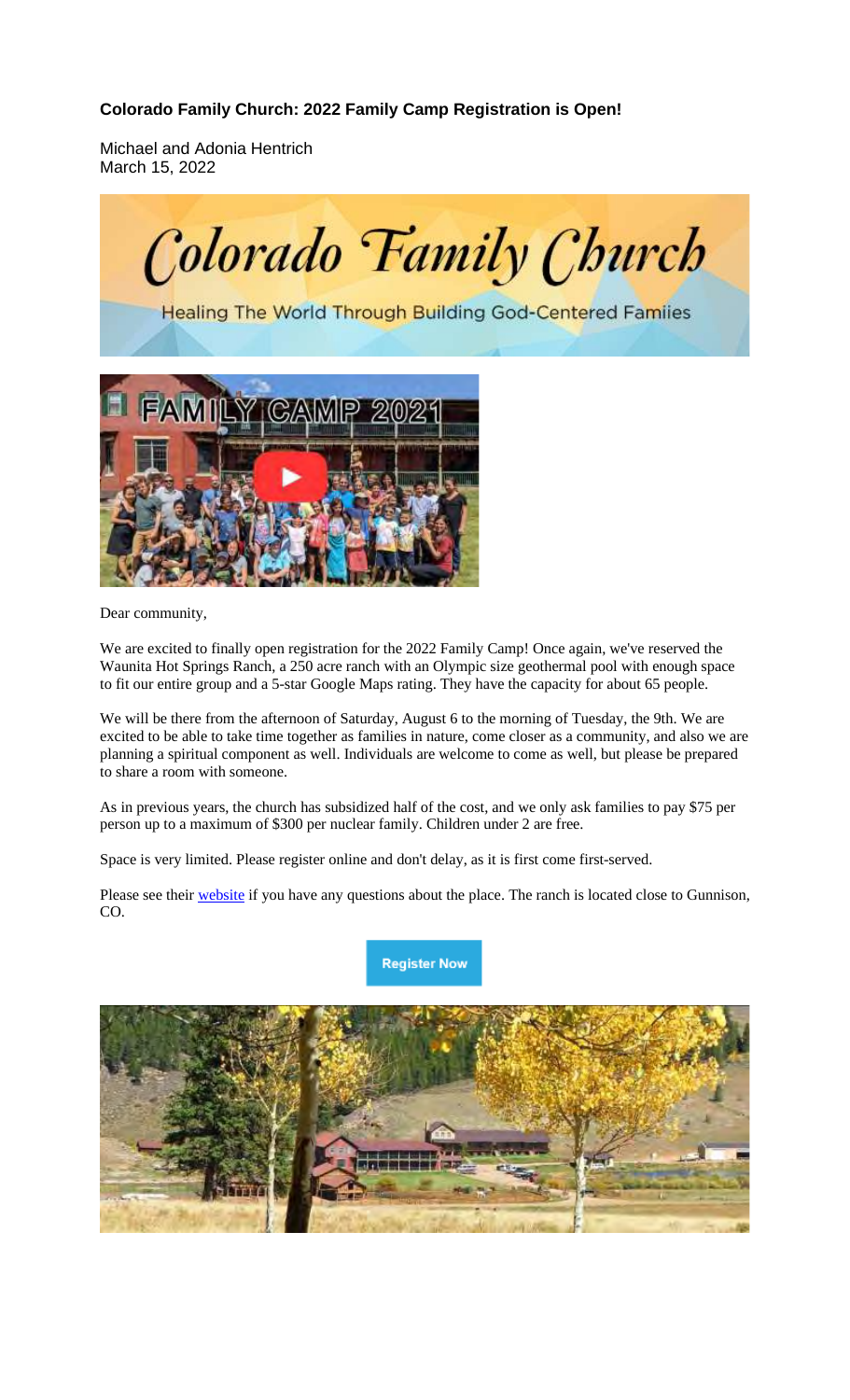## **Colorado Family Church: 2022 Family Camp Registration is Open!**

Michael and Adonia Hentrich March 15, 2022



**Healing The World Through Building God-Centered Familes** 



Dear community,

We are excited to finally open registration for the 2022 Family Camp! Once again, we've reserved the Waunita Hot Springs Ranch, a 250 acre ranch with an Olympic size geothermal pool with enough space to fit our entire group and a 5-star Google Maps rating. They have the capacity for about 65 people.

We will be there from the afternoon of Saturday, August 6 to the morning of Tuesday, the 9th. We are excited to be able to take time together as families in nature, come closer as a community, and also we are planning a spiritual component as well. Individuals are welcome to come as well, but please be prepared to share a room with someone.

As in previous years, the church has subsidized half of the cost, and we only ask families to pay \$75 per person up to a maximum of \$300 per nuclear family. Children under 2 are free.

Space is very limited. Please register online and don't delay, as it is first come first-served.

Please see their website if you have any questions about the place. The ranch is located close to Gunnison, CO.